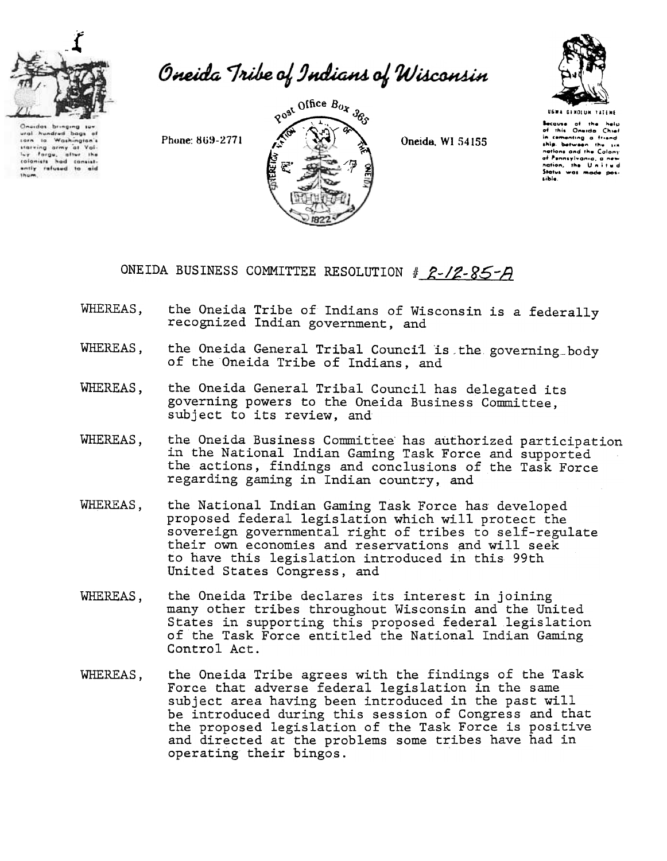

ural hundred bags

ural hundred bags of<br>tarting army at You<br>thatting army at You<br>to formulate the colonists<br>colonists had consist-<br>and y refused to aid<br>thom

## Oneida Tribe of Indians of Wisconsin

Phone: 869-2771



Oneida, WI 54155



**Secause** of the help<br>of this Oneida Chief in comenting a friend nations and the Colony af Ponnsylvania, a nev nation, the Unitud Status was made possible.

## ONEIDA BUSINESS COMMITTEE RESOLUTION # 2-12-85-A

- WHEREAS, the Oneida Tribe of Indians of Wisconsin is a federally recognized Indian government, and
- the Oneida General Tribal Council is the governing body WHEREAS, of the Oneida Tribe of Indians, and
- the Oneida General Tribal Council has delegated its WHEREAS. governing powers to the Oneida Business Committee, subject to its review, and
- the Oneida Business Committee has authorized participation WHEREAS. in the National Indian Gaming Task Force and supported the actions, findings and conclusions of the Task Force regarding gaming in Indian country, and
- WHEREAS, the National Indian Gaming Task Force has developed proposed federal legislation which will protect the sovereign governmental right of tribes to self-regulate their own economies and reservations and will seek to have this legislation introduced in this 99th United States Congress, and
- the Oneida Tribe declares its interest in joining WHEREAS. many other tribes throughout Wisconsin and the United States in supporting this proposed federal legislation of the Task Force entitled the National Indian Gaming Control Act.
- the Oneida Tribe agrees with the findings of the Task WHEREAS, Force that adverse federal legislation in the same subject area having been introduced in the past will be introduced during this session of Congress and that the proposed legislation of the Task Force is positive and directed at the problems some tribes have had in operating their bingos.